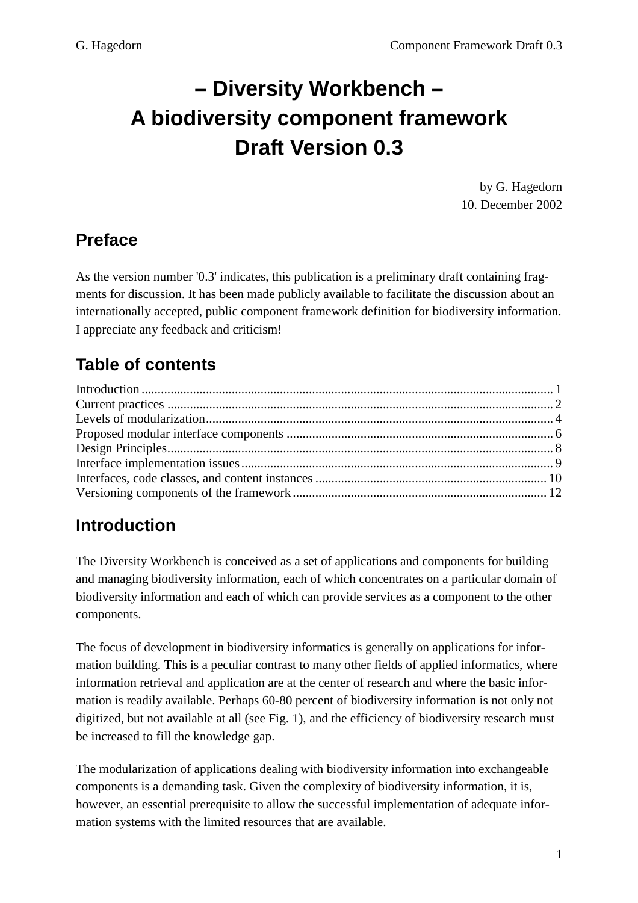# **– Diversity Workbench – A biodiversity component framework Draft Version 0.3**

by G. Hagedorn 10. December 2002

### **Preface**

As the version number '0.3' indicates, this publication is a preliminary draft containing fragments for discussion. It has been made publicly available to facilitate the discussion about an internationally accepted, public component framework definition for biodiversity information. I appreciate any feedback and criticism!

## **Table of contents**

## **Introduction**

The Diversity Workbench is conceived as a set of applications and components for building and managing biodiversity information, each of which concentrates on a particular domain of biodiversity information and each of which can provide services as a component to the other components.

The focus of development in biodiversity informatics is generally on applications for information building. This is a peculiar contrast to many other fields of applied informatics, where information retrieval and application are at the center of research and where the basic information is readily available. Perhaps 60-80 percent of biodiversity information is not only not digitized, but not available at all (see Fig. 1), and the efficiency of biodiversity research must be increased to fill the knowledge gap.

The modularization of applications dealing with biodiversity information into exchangeable components is a demanding task. Given the complexity of biodiversity information, it is, however, an essential prerequisite to allow the successful implementation of adequate information systems with the limited resources that are available.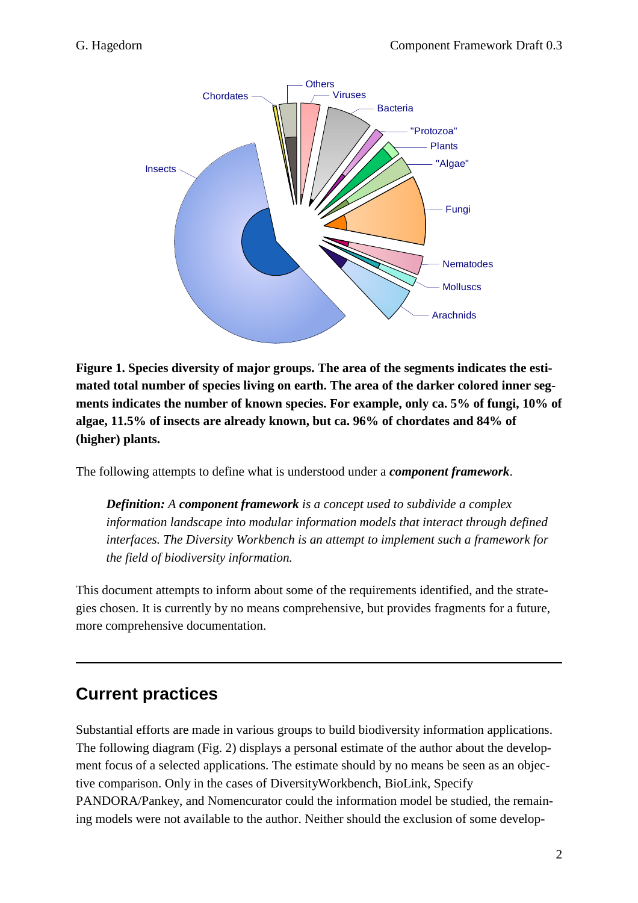

**Figure 1. Species diversity of major groups. The area of the segments indicates the estimated total number of species living on earth. The area of the darker colored inner segments indicates the number of known species. For example, only ca. 5% of fungi, 10% of algae, 11.5% of insects are already known, but ca. 96% of chordates and 84% of (higher) plants.** 

The following attempts to define what is understood under a *component framework*.

 *Definition: A component framework is a concept used to subdivide a complex information landscape into modular information models that interact through defined interfaces. The Diversity Workbench is an attempt to implement such a framework for the field of biodiversity information.* 

This document attempts to inform about some of the requirements identified, and the strategies chosen. It is currently by no means comprehensive, but provides fragments for a future, more comprehensive documentation.

### **Current practices**

Substantial efforts are made in various groups to build biodiversity information applications. The following diagram (Fig. 2) displays a personal estimate of the author about the development focus of a selected applications. The estimate should by no means be seen as an objective comparison. Only in the cases of DiversityWorkbench, BioLink, Specify PANDORA/Pankey, and Nomencurator could the information model be studied, the remaining models were not available to the author. Neither should the exclusion of some develop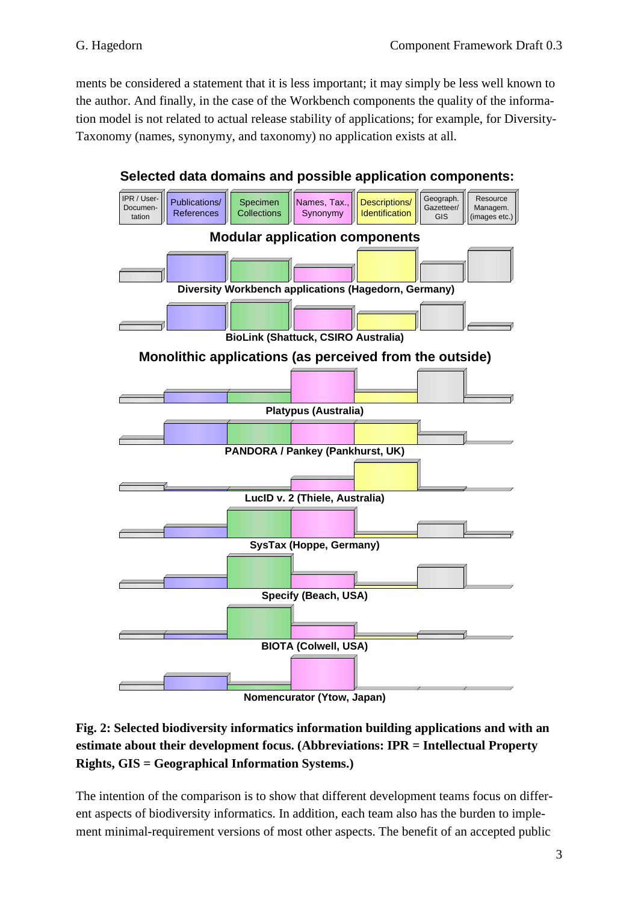ments be considered a statement that it is less important; it may simply be less well known to the author. And finally, in the case of the Workbench components the quality of the information model is not related to actual release stability of applications; for example, for Diversity-Taxonomy (names, synonymy, and taxonomy) no application exists at all.



**Selected data domains and possible application components:**

**Fig. 2: Selected biodiversity informatics information building applications and with an estimate about their development focus. (Abbreviations: IPR = Intellectual Property** 

**Rights, GIS = Geographical Information Systems.)** 

The intention of the comparison is to show that different development teams focus on different aspects of biodiversity informatics. In addition, each team also has the burden to implement minimal-requirement versions of most other aspects. The benefit of an accepted public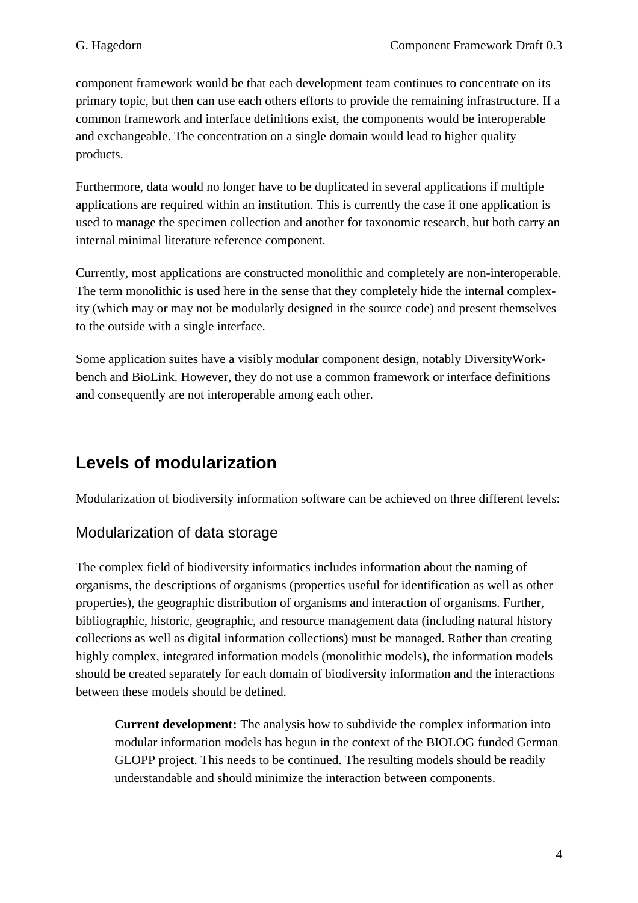component framework would be that each development team continues to concentrate on its primary topic, but then can use each others efforts to provide the remaining infrastructure. If a common framework and interface definitions exist, the components would be interoperable and exchangeable. The concentration on a single domain would lead to higher quality products.

Furthermore, data would no longer have to be duplicated in several applications if multiple applications are required within an institution. This is currently the case if one application is used to manage the specimen collection and another for taxonomic research, but both carry an internal minimal literature reference component.

Currently, most applications are constructed monolithic and completely are non-interoperable. The term monolithic is used here in the sense that they completely hide the internal complexity (which may or may not be modularly designed in the source code) and present themselves to the outside with a single interface.

Some application suites have a visibly modular component design, notably DiversityWorkbench and BioLink. However, they do not use a common framework or interface definitions and consequently are not interoperable among each other.

## **Levels of modularization**

Modularization of biodiversity information software can be achieved on three different levels:

#### Modularization of data storage

The complex field of biodiversity informatics includes information about the naming of organisms, the descriptions of organisms (properties useful for identification as well as other properties), the geographic distribution of organisms and interaction of organisms. Further, bibliographic, historic, geographic, and resource management data (including natural history collections as well as digital information collections) must be managed. Rather than creating highly complex, integrated information models (monolithic models), the information models should be created separately for each domain of biodiversity information and the interactions between these models should be defined.

**Current development:** The analysis how to subdivide the complex information into modular information models has begun in the context of the BIOLOG funded German GLOPP project. This needs to be continued. The resulting models should be readily understandable and should minimize the interaction between components.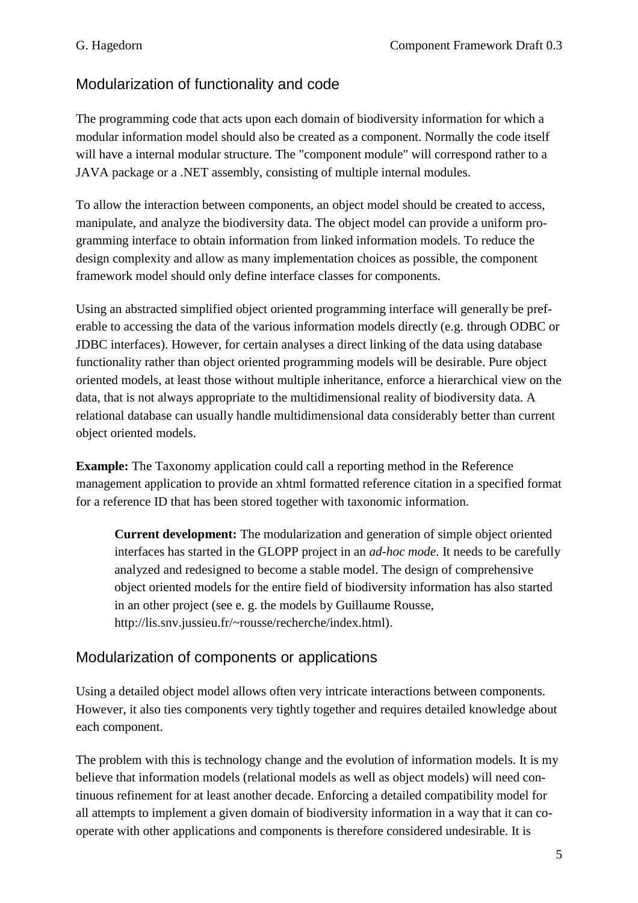#### Modularization of functionality and code

The programming code that acts upon each domain of biodiversity information for which a modular information model should also be created as a component. Normally the code itself will have a internal modular structure. The "component module" will correspond rather to a JAVA package or a .NET assembly, consisting of multiple internal modules.

To allow the interaction between components, an object model should be created to access, manipulate, and analyze the biodiversity data. The object model can provide a uniform programming interface to obtain information from linked information models. To reduce the design complexity and allow as many implementation choices as possible, the component framework model should only define interface classes for components.

Using an abstracted simplified object oriented programming interface will generally be preferable to accessing the data of the various information models directly (e.g. through ODBC or JDBC interfaces). However, for certain analyses a direct linking of the data using database functionality rather than object oriented programming models will be desirable. Pure object oriented models, at least those without multiple inheritance, enforce a hierarchical view on the data, that is not always appropriate to the multidimensional reality of biodiversity data. A relational database can usually handle multidimensional data considerably better than current object oriented models.

**Example:** The Taxonomy application could call a reporting method in the Reference management application to provide an xhtml formatted reference citation in a specified format for a reference ID that has been stored together with taxonomic information.

**Current development:** The modularization and generation of simple object oriented interfaces has started in the GLOPP project in an *ad-hoc mode*. It needs to be carefully analyzed and redesigned to become a stable model. The design of comprehensive object oriented models for the entire field of biodiversity information has also started in an other project (see e. g. the models by Guillaume Rousse, http://lis.snv.jussieu.fr/~rousse/recherche/index.html).

#### Modularization of components or applications

Using a detailed object model allows often very intricate interactions between components. However, it also ties components very tightly together and requires detailed knowledge about each component.

The problem with this is technology change and the evolution of information models. It is my believe that information models (relational models as well as object models) will need continuous refinement for at least another decade. Enforcing a detailed compatibility model for all attempts to implement a given domain of biodiversity information in a way that it can cooperate with other applications and components is therefore considered undesirable. It is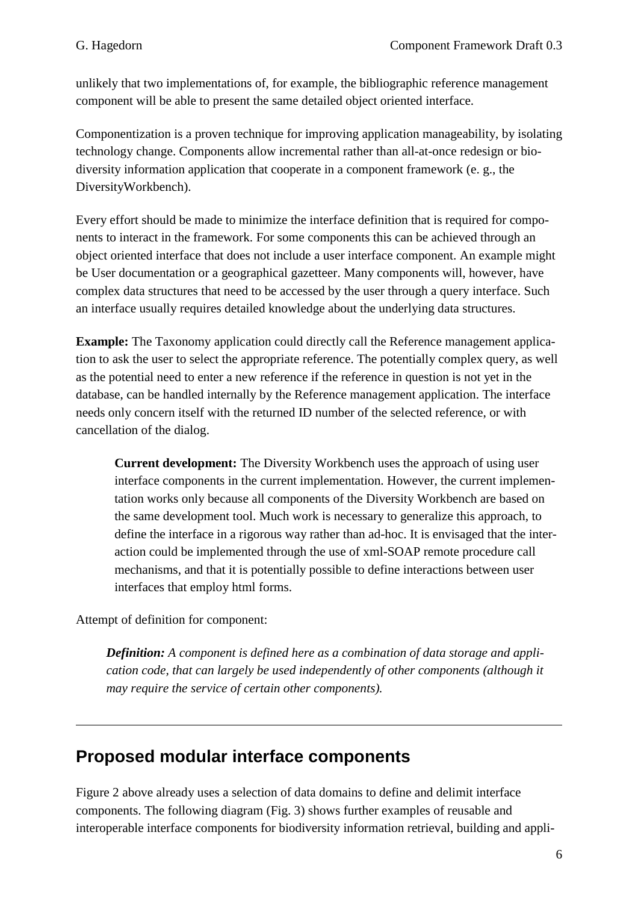unlikely that two implementations of, for example, the bibliographic reference management component will be able to present the same detailed object oriented interface.

Componentization is a proven technique for improving application manageability, by isolating technology change. Components allow incremental rather than all-at-once redesign or biodiversity information application that cooperate in a component framework (e. g., the DiversityWorkbench).

Every effort should be made to minimize the interface definition that is required for components to interact in the framework. For some components this can be achieved through an object oriented interface that does not include a user interface component. An example might be User documentation or a geographical gazetteer. Many components will, however, have complex data structures that need to be accessed by the user through a query interface. Such an interface usually requires detailed knowledge about the underlying data structures.

**Example:** The Taxonomy application could directly call the Reference management application to ask the user to select the appropriate reference. The potentially complex query, as well as the potential need to enter a new reference if the reference in question is not yet in the database, can be handled internally by the Reference management application. The interface needs only concern itself with the returned ID number of the selected reference, or with cancellation of the dialog.

**Current development:** The Diversity Workbench uses the approach of using user interface components in the current implementation. However, the current implementation works only because all components of the Diversity Workbench are based on the same development tool. Much work is necessary to generalize this approach, to define the interface in a rigorous way rather than ad-hoc. It is envisaged that the interaction could be implemented through the use of xml-SOAP remote procedure call mechanisms, and that it is potentially possible to define interactions between user interfaces that employ html forms.

Attempt of definition for component:

 *Definition: A component is defined here as a combination of data storage and application code, that can largely be used independently of other components (although it may require the service of certain other components).* 

## **Proposed modular interface components**

Figure 2 above already uses a selection of data domains to define and delimit interface components. The following diagram (Fig. 3) shows further examples of reusable and interoperable interface components for biodiversity information retrieval, building and appli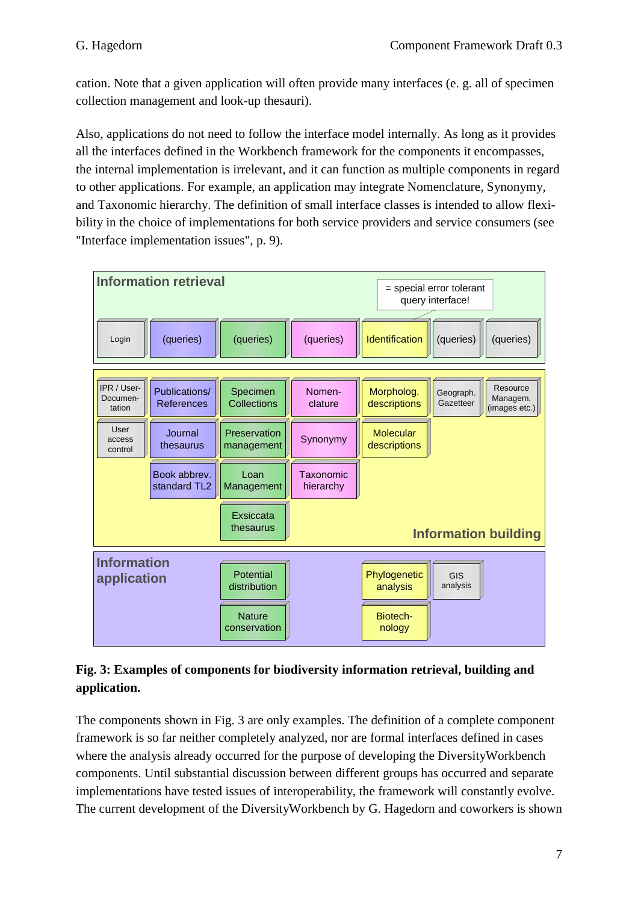cation. Note that a given application will often provide many interfaces (e. g. all of specimen collection management and look-up thesauri).

Also, applications do not need to follow the interface model internally. As long as it provides all the interfaces defined in the Workbench framework for the components it encompasses, the internal implementation is irrelevant, and it can function as multiple components in regard to other applications. For example, an application may integrate Nomenclature, Synonymy, and Taxonomic hierarchy. The definition of small interface classes is intended to allow flexibility in the choice of implementations for both service providers and service consumers (see "Interface implementation issues", p. 9).



#### **Fig. 3: Examples of components for biodiversity information retrieval, building and application.**

The components shown in Fig. 3 are only examples. The definition of a complete component framework is so far neither completely analyzed, nor are formal interfaces defined in cases where the analysis already occurred for the purpose of developing the DiversityWorkbench components. Until substantial discussion between different groups has occurred and separate implementations have tested issues of interoperability, the framework will constantly evolve. The current development of the DiversityWorkbench by G. Hagedorn and coworkers is shown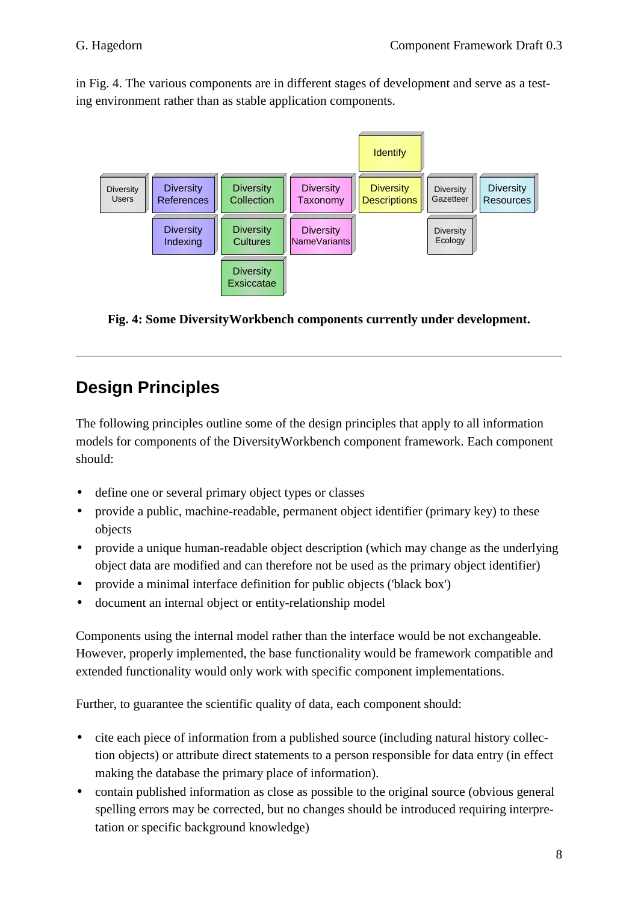in Fig. 4. The various components are in different stages of development and serve as a testing environment rather than as stable application components.



**Fig. 4: Some DiversityWorkbench components currently under development.** 

## **Design Principles**

The following principles outline some of the design principles that apply to all information models for components of the DiversityWorkbench component framework. Each component should:

- define one or several primary object types or classes
- provide a public, machine-readable, permanent object identifier (primary key) to these objects
- provide a unique human-readable object description (which may change as the underlying object data are modified and can therefore not be used as the primary object identifier)
- provide a minimal interface definition for public objects ('black box')
- document an internal object or entity-relationship model

Components using the internal model rather than the interface would be not exchangeable. However, properly implemented, the base functionality would be framework compatible and extended functionality would only work with specific component implementations.

Further, to guarantee the scientific quality of data, each component should:

- cite each piece of information from a published source (including natural history collection objects) or attribute direct statements to a person responsible for data entry (in effect making the database the primary place of information).
- contain published information as close as possible to the original source (obvious general spelling errors may be corrected, but no changes should be introduced requiring interpretation or specific background knowledge)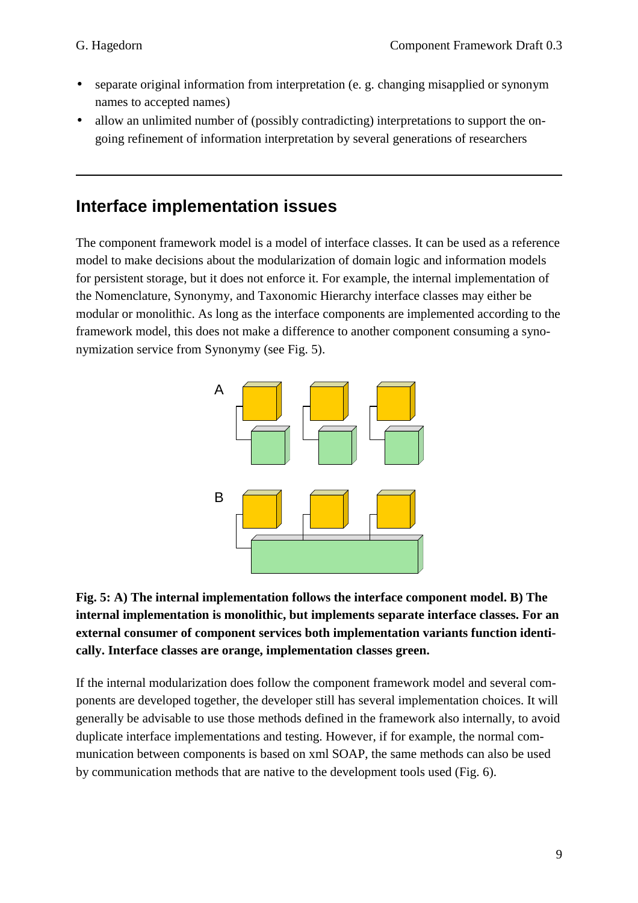- separate original information from interpretation (e. g. changing misapplied or synonym names to accepted names)
- allow an unlimited number of (possibly contradicting) interpretations to support the ongoing refinement of information interpretation by several generations of researchers

## **Interface implementation issues**

The component framework model is a model of interface classes. It can be used as a reference model to make decisions about the modularization of domain logic and information models for persistent storage, but it does not enforce it. For example, the internal implementation of the Nomenclature, Synonymy, and Taxonomic Hierarchy interface classes may either be modular or monolithic. As long as the interface components are implemented according to the framework model, this does not make a difference to another component consuming a synonymization service from Synonymy (see Fig. 5).





If the internal modularization does follow the component framework model and several components are developed together, the developer still has several implementation choices. It will generally be advisable to use those methods defined in the framework also internally, to avoid duplicate interface implementations and testing. However, if for example, the normal communication between components is based on xml SOAP, the same methods can also be used by communication methods that are native to the development tools used (Fig. 6).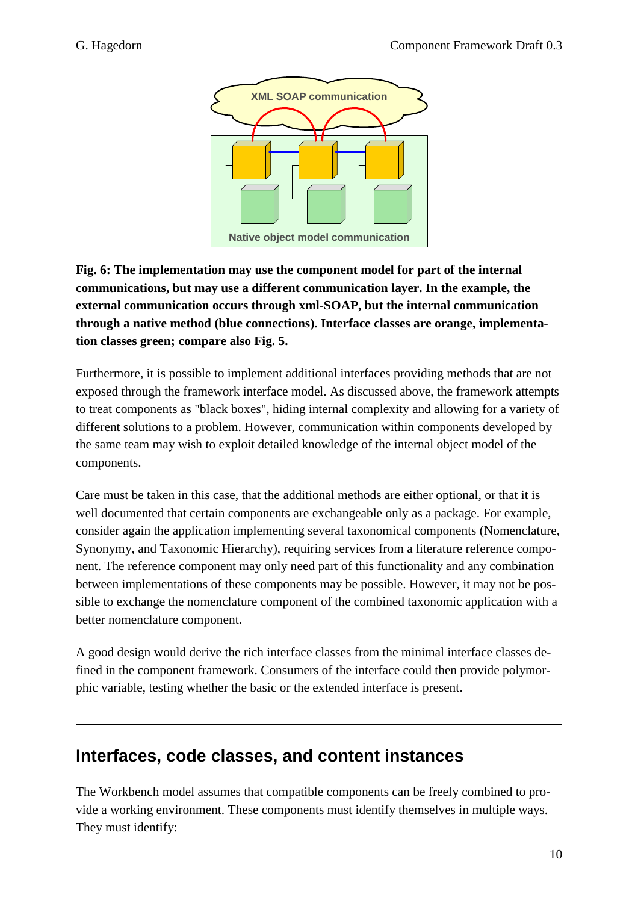

**Fig. 6: The implementation may use the component model for part of the internal communications, but may use a different communication layer. In the example, the external communication occurs through xml-SOAP, but the internal communication through a native method (blue connections). Interface classes are orange, implementation classes green; compare also Fig. 5.** 

Furthermore, it is possible to implement additional interfaces providing methods that are not exposed through the framework interface model. As discussed above, the framework attempts to treat components as "black boxes", hiding internal complexity and allowing for a variety of different solutions to a problem. However, communication within components developed by the same team may wish to exploit detailed knowledge of the internal object model of the components.

Care must be taken in this case, that the additional methods are either optional, or that it is well documented that certain components are exchangeable only as a package. For example, consider again the application implementing several taxonomical components (Nomenclature, Synonymy, and Taxonomic Hierarchy), requiring services from a literature reference component. The reference component may only need part of this functionality and any combination between implementations of these components may be possible. However, it may not be possible to exchange the nomenclature component of the combined taxonomic application with a better nomenclature component.

A good design would derive the rich interface classes from the minimal interface classes defined in the component framework. Consumers of the interface could then provide polymorphic variable, testing whether the basic or the extended interface is present.

### **Interfaces, code classes, and content instances**

The Workbench model assumes that compatible components can be freely combined to provide a working environment. These components must identify themselves in multiple ways. They must identify: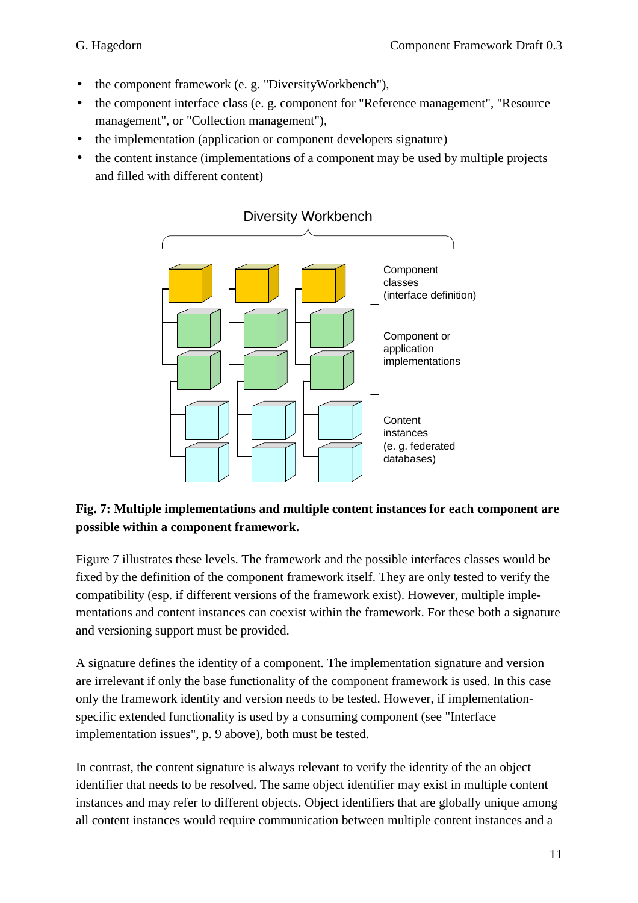- the component framework (e. g. "DiversityWorkbench"),
- the component interface class (e. g. component for "Reference management", "Resource" management", or "Collection management"),
- the implementation (application or component developers signature)
- the content instance (implementations of a component may be used by multiple projects and filled with different content)



#### **Fig. 7: Multiple implementations and multiple content instances for each component are possible within a component framework.**

Figure 7 illustrates these levels. The framework and the possible interfaces classes would be fixed by the definition of the component framework itself. They are only tested to verify the compatibility (esp. if different versions of the framework exist). However, multiple implementations and content instances can coexist within the framework. For these both a signature and versioning support must be provided.

A signature defines the identity of a component. The implementation signature and version are irrelevant if only the base functionality of the component framework is used. In this case only the framework identity and version needs to be tested. However, if implementationspecific extended functionality is used by a consuming component (see "Interface implementation issues", p. 9 above), both must be tested.

In contrast, the content signature is always relevant to verify the identity of the an object identifier that needs to be resolved. The same object identifier may exist in multiple content instances and may refer to different objects. Object identifiers that are globally unique among all content instances would require communication between multiple content instances and a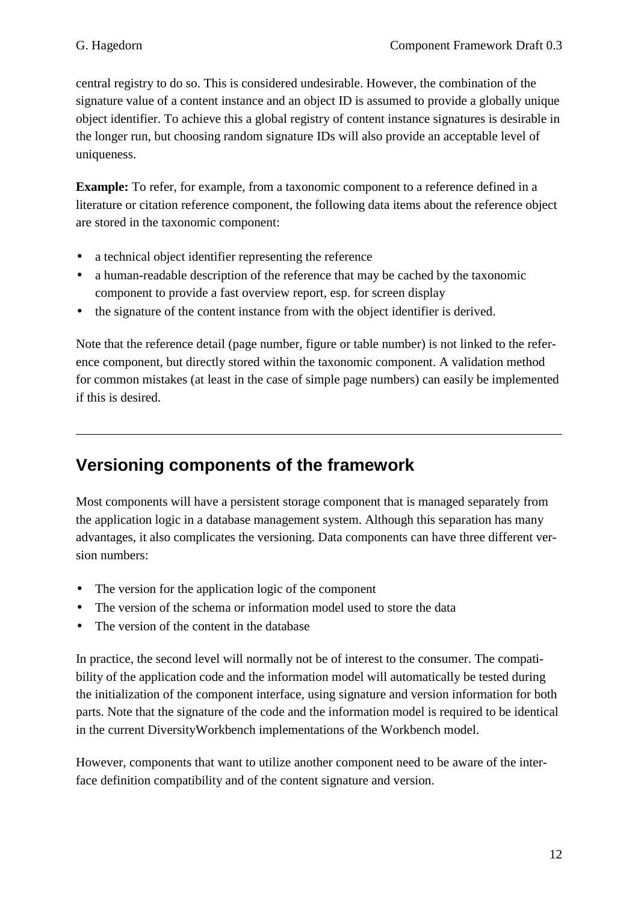central registry to do so. This is considered undesirable. However, the combination of the signature value of a content instance and an object ID is assumed to provide a globally unique object identifier. To achieve this a global registry of content instance signatures is desirable in the longer run, but choosing random signature IDs will also provide an acceptable level of uniqueness.

**Example:** To refer, for example, from a taxonomic component to a reference defined in a literature or citation reference component, the following data items about the reference object are stored in the taxonomic component:

- a technical object identifier representing the reference
- a human-readable description of the reference that may be cached by the taxonomic component to provide a fast overview report, esp. for screen display
- the signature of the content instance from with the object identifier is derived.

Note that the reference detail (page number, figure or table number) is not linked to the reference component, but directly stored within the taxonomic component. A validation method for common mistakes (at least in the case of simple page numbers) can easily be implemented if this is desired.

## **Versioning components of the framework**

Most components will have a persistent storage component that is managed separately from the application logic in a database management system. Although this separation has many advantages, it also complicates the versioning. Data components can have three different version numbers:

- The version for the application logic of the component
- The version of the schema or information model used to store the data
- The version of the content in the database

In practice, the second level will normally not be of interest to the consumer. The compatibility of the application code and the information model will automatically be tested during the initialization of the component interface, using signature and version information for both parts. Note that the signature of the code and the information model is required to be identical in the current DiversityWorkbench implementations of the Workbench model.

However, components that want to utilize another component need to be aware of the interface definition compatibility and of the content signature and version.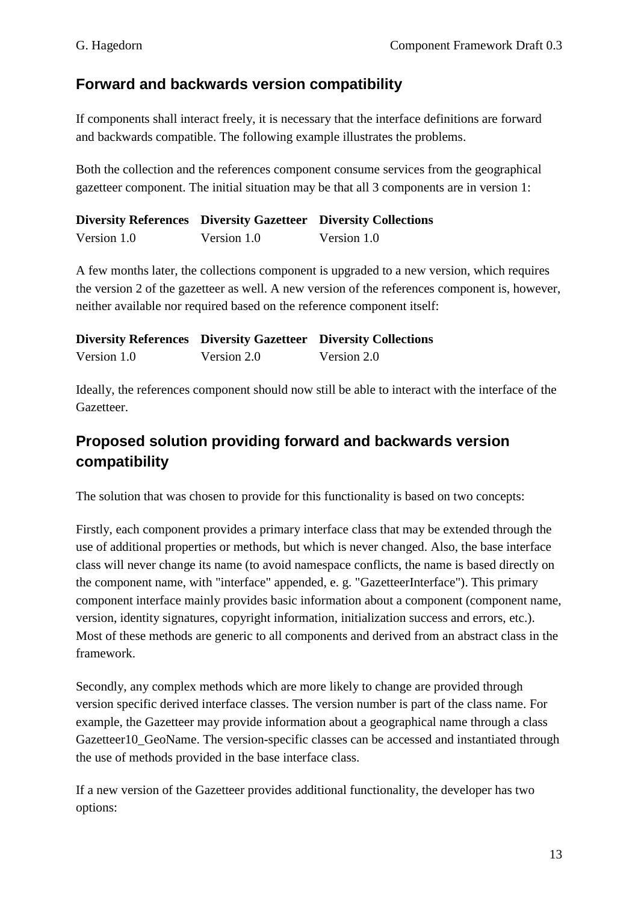#### **Forward and backwards version compatibility**

If components shall interact freely, it is necessary that the interface definitions are forward and backwards compatible. The following example illustrates the problems.

Both the collection and the references component consume services from the geographical gazetteer component. The initial situation may be that all 3 components are in version 1:

|             |             | <b>Diversity References Diversity Gazetteer Diversity Collections</b> |
|-------------|-------------|-----------------------------------------------------------------------|
| Version 1.0 | Version 1.0 | Version 1.0                                                           |

A few months later, the collections component is upgraded to a new version, which requires the version 2 of the gazetteer as well. A new version of the references component is, however, neither available nor required based on the reference component itself:

|             |             | <b>Diversity References Diversity Gazetteer Diversity Collections</b> |
|-------------|-------------|-----------------------------------------------------------------------|
| Version 1.0 | Version 2.0 | Version 2.0                                                           |

Ideally, the references component should now still be able to interact with the interface of the Gazetteer.

#### **Proposed solution providing forward and backwards version compatibility**

The solution that was chosen to provide for this functionality is based on two concepts:

Firstly, each component provides a primary interface class that may be extended through the use of additional properties or methods, but which is never changed. Also, the base interface class will never change its name (to avoid namespace conflicts, the name is based directly on the component name, with "interface" appended, e. g. "GazetteerInterface"). This primary component interface mainly provides basic information about a component (component name, version, identity signatures, copyright information, initialization success and errors, etc.). Most of these methods are generic to all components and derived from an abstract class in the framework.

Secondly, any complex methods which are more likely to change are provided through version specific derived interface classes. The version number is part of the class name. For example, the Gazetteer may provide information about a geographical name through a class Gazetteer10\_GeoName. The version-specific classes can be accessed and instantiated through the use of methods provided in the base interface class.

If a new version of the Gazetteer provides additional functionality, the developer has two options: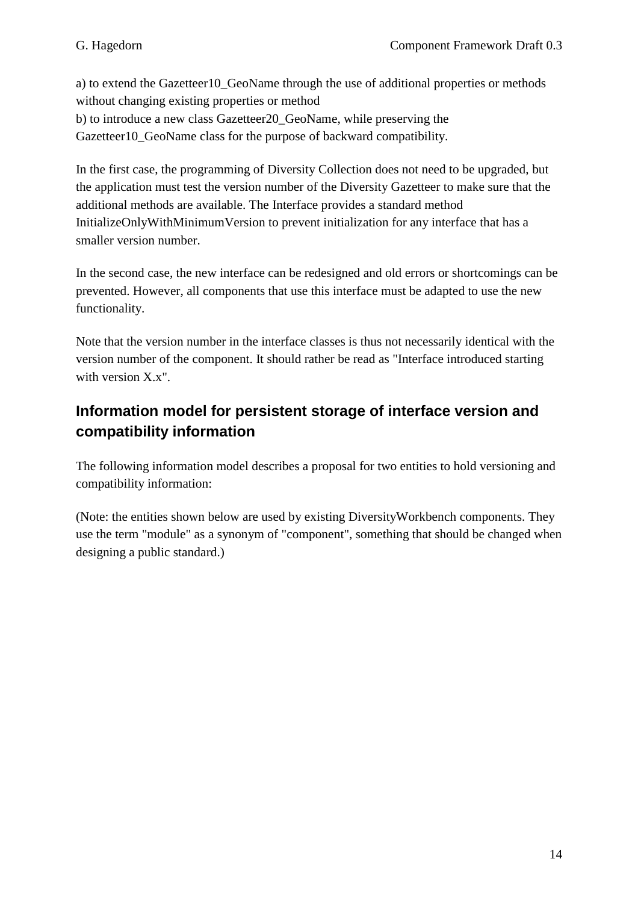a) to extend the Gazetteer10\_GeoName through the use of additional properties or methods without changing existing properties or method b) to introduce a new class Gazetteer20\_GeoName, while preserving the Gazetteer10 GeoName class for the purpose of backward compatibility.

In the first case, the programming of Diversity Collection does not need to be upgraded, but the application must test the version number of the Diversity Gazetteer to make sure that the additional methods are available. The Interface provides a standard method InitializeOnlyWithMinimumVersion to prevent initialization for any interface that has a smaller version number.

In the second case, the new interface can be redesigned and old errors or shortcomings can be prevented. However, all components that use this interface must be adapted to use the new functionality.

Note that the version number in the interface classes is thus not necessarily identical with the version number of the component. It should rather be read as "Interface introduced starting with version X<sub>x</sub>".

#### **Information model for persistent storage of interface version and compatibility information**

The following information model describes a proposal for two entities to hold versioning and compatibility information:

(Note: the entities shown below are used by existing DiversityWorkbench components. They use the term "module" as a synonym of "component", something that should be changed when designing a public standard.)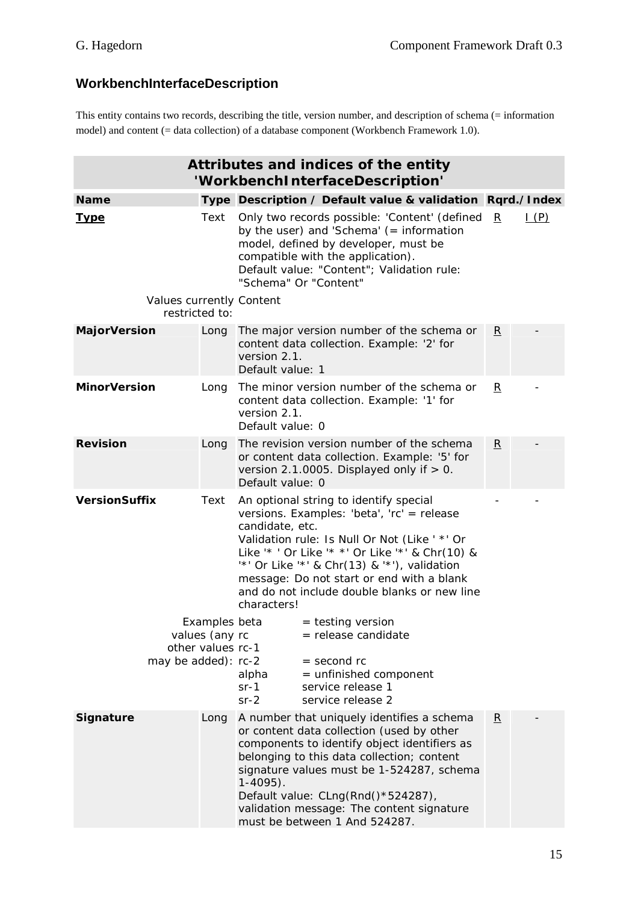#### **WorkbenchInterfaceDescription**

This entity contains two records, describing the title, version number, and description of schema (= information model) and content (= data collection) of a database component (Workbench Framework 1.0).

| Attributes and indices of the entity<br>'WorkbenchInterfaceDescription' |                                    |                                                                                                                                                                                                                                                                                                                                                                              |                         |             |
|-------------------------------------------------------------------------|------------------------------------|------------------------------------------------------------------------------------------------------------------------------------------------------------------------------------------------------------------------------------------------------------------------------------------------------------------------------------------------------------------------------|-------------------------|-------------|
| <b>Name</b>                                                             |                                    | Type Description / Default value & validation Rqrd./Index                                                                                                                                                                                                                                                                                                                    |                         |             |
| <u>Type</u>                                                             | Text                               | Only two records possible: 'Content' (defined<br>by the user) and 'Schema' $($ = information<br>model, defined by developer, must be<br>compatible with the application).<br>Default value: "Content"; Validation rule:<br>"Schema" Or "Content"                                                                                                                             | R                       | $\perp$ (P) |
| Values currently Content<br>restricted to:                              |                                    |                                                                                                                                                                                                                                                                                                                                                                              |                         |             |
| <b>MajorVersion</b>                                                     | Long                               | The major version number of the schema or<br>content data collection. Example: '2' for<br>version 2.1.<br>Default value: 1                                                                                                                                                                                                                                                   | $\overline{\mathbf{R}}$ |             |
| <b>MinorVersion</b>                                                     | Long                               | The minor version number of the schema or<br>content data collection. Example: '1' for<br>version 2.1.<br>Default value: 0                                                                                                                                                                                                                                                   | $\overline{\mathbf{R}}$ |             |
| <b>Revision</b>                                                         | Long                               | The revision version number of the schema<br>or content data collection. Example: '5' for<br>version 2.1.0005. Displayed only if $> 0$ .<br>Default value: 0                                                                                                                                                                                                                 | $\overline{\mathbf{R}}$ |             |
| <b>VersionSuffix</b><br>Text                                            |                                    | An optional string to identify special<br>versions. Examples: 'beta', 'rc' = release<br>candidate, etc.<br>Validation rule: Is Null Or Not (Like ' *' Or<br>Like '* ' Or Like '* * ' Or Like '* ' & Chr(10) &<br>$'$ *' Or Like '*' & Chr(13) & '*'), validation<br>message: Do not start or end with a blank<br>and do not include double blanks or new line<br>characters! |                         |             |
| may be added): rc-2                                                     | Examples beta<br>other values rc-1 | $=$ testing version<br><i>values (any</i> rc<br>= release candidate<br>$=$ second $rc$<br>$=$ unfinished component<br>alpha<br>service release 1<br>$sr-1$<br>$sr-2$<br>service release 2                                                                                                                                                                                    |                         |             |
| <b>Signature</b>                                                        | Long                               | A number that uniquely identifies a schema<br>or content data collection (used by other<br>components to identify object identifiers as<br>belonging to this data collection; content<br>signature values must be 1-524287, schema<br>$1 - 4095$ ).<br>Default value: CLng(Rnd()*524287),<br>validation message: The content signature<br>must be between 1 And 524287.      | $\overline{R}$          |             |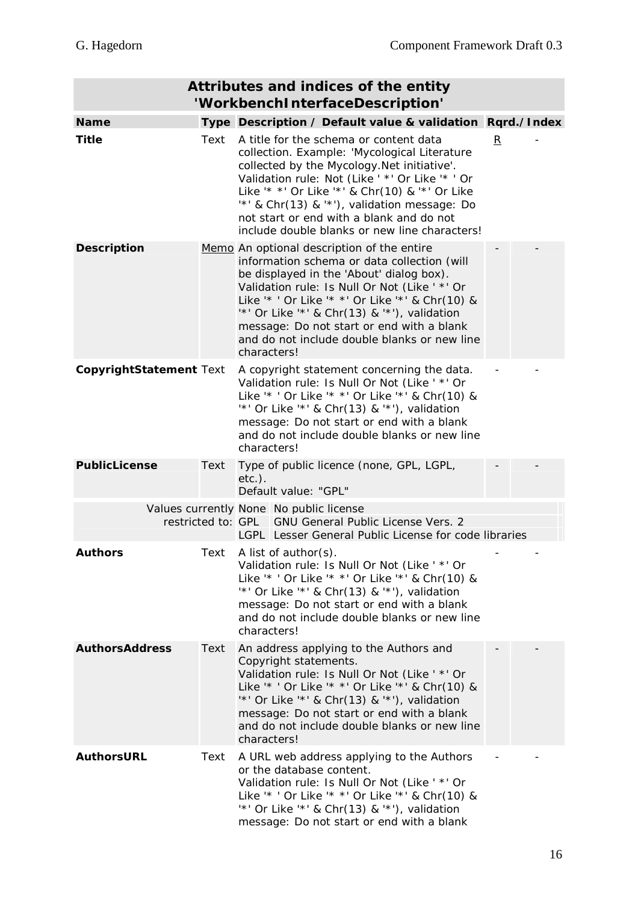| Attributes and indices of the entity<br>'WorkbenchInterfaceDescription' |      |                                                                                                                                                                                                                                                                                                                                                                                                            |                         |  |
|-------------------------------------------------------------------------|------|------------------------------------------------------------------------------------------------------------------------------------------------------------------------------------------------------------------------------------------------------------------------------------------------------------------------------------------------------------------------------------------------------------|-------------------------|--|
| <b>Name</b>                                                             |      | Type Description / Default value & validation Rqrd./Index                                                                                                                                                                                                                                                                                                                                                  |                         |  |
| <b>Title</b>                                                            | Text | A title for the schema or content data<br>collection. Example: 'Mycological Literature<br>collected by the Mycology. Net initiative'.<br>Validation rule: Not (Like ' *' Or Like '* ' Or<br>Like '* *' Or Like '*' & Chr(10) & '*' Or Like<br>$'$ *' & Chr(13) & '*'), validation message: Do<br>not start or end with a blank and do not<br>include double blanks or new line characters!                 | $\overline{\mathbf{R}}$ |  |
| <b>Description</b>                                                      |      | Memo An optional description of the entire<br>information schema or data collection (will<br>be displayed in the 'About' dialog box).<br>Validation rule: Is Null Or Not (Like ' *' Or<br>Like '* ' Or Like '* * ' Or Like '* ' & Chr(10) &<br>$'$ *' Or Like '*' & Chr(13) & '*'), validation<br>message: Do not start or end with a blank<br>and do not include double blanks or new line<br>characters! |                         |  |
| CopyrightStatement Text                                                 |      | A copyright statement concerning the data.<br>Validation rule: Is Null Or Not (Like ' *' Or<br>Like '* ' Or Like '* *' Or Like '*' & Chr(10) &<br>$'$ *' Or Like '*' & Chr(13) & '*'), validation<br>message: Do not start or end with a blank<br>and do not include double blanks or new line<br>characters!                                                                                              |                         |  |
| <b>PublicLicense</b>                                                    | Text | Type of public licence (none, GPL, LGPL,<br>$etc.$ ).<br>Default value: "GPL"                                                                                                                                                                                                                                                                                                                              |                         |  |
|                                                                         |      | Values currently None No public license                                                                                                                                                                                                                                                                                                                                                                    |                         |  |
|                                                                         |      | restricted to: GPL GNU General Public License Vers. 2<br>LGPL Lesser General Public License for code libraries                                                                                                                                                                                                                                                                                             |                         |  |
| <b>Authors</b>                                                          | Text | A list of author(s).<br>Validation rule: Is Null Or Not (Like ' *' Or<br>Like '* ' Or Like '* *' Or Like '*' & Chr(10) &<br>$'$ *' Or Like '*' & Chr(13) & '*'), validation<br>message: Do not start or end with a blank<br>and do not include double blanks or new line<br>characters!                                                                                                                    |                         |  |
| <b>AuthorsAddress</b>                                                   | Text | An address applying to the Authors and<br>Copyright statements.<br>Validation rule: Is Null Or Not (Like ' *' Or<br>Like '* ' Or Like '* *' Or Like '*' & Chr(10) &<br>$'$ *' Or Like '*' & Chr(13) & '*'), validation<br>message: Do not start or end with a blank<br>and do not include double blanks or new line<br>characters!                                                                         |                         |  |
| <b>AuthorsURL</b>                                                       | Text | A URL web address applying to the Authors<br>or the database content.<br>Validation rule: Is Null Or Not (Like ' *' Or<br>Like '* ' Or Like '* *' Or Like '*' & Chr(10) &<br>$'$ *' Or Like '*' & Chr(13) & '*'), validation<br>message: Do not start or end with a blank                                                                                                                                  |                         |  |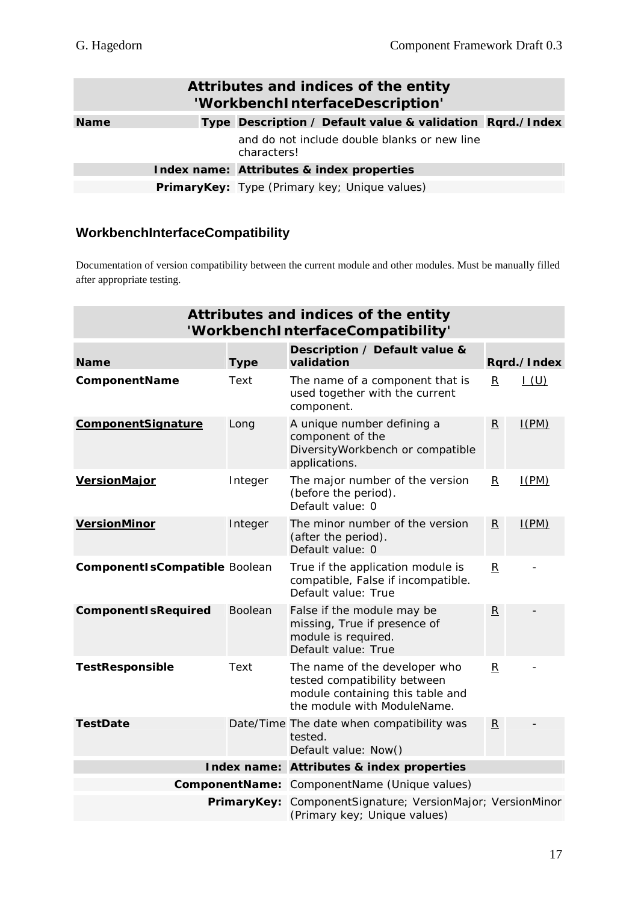| Attributes and indices of the entity<br>'WorkbenchInterfaceDescription' |  |                                                             |  |  |
|-------------------------------------------------------------------------|--|-------------------------------------------------------------|--|--|
| <b>Name</b>                                                             |  | Type Description / Default value & validation Rgrd./Index   |  |  |
|                                                                         |  | and do not include double blanks or new line<br>characters! |  |  |
|                                                                         |  | Index name: Attributes & index properties                   |  |  |
|                                                                         |  | <b>PrimaryKey:</b> Type (Primary key; Unique values)        |  |  |

#### **WorkbenchInterfaceCompatibility**

Documentation of version compatibility between the current module and other modules. Must be manually filled after appropriate testing.

| Attributes and indices of the entity<br>'WorkbenchInterfaceCompatibility' |             |                                                                                                                                  |                         |             |
|---------------------------------------------------------------------------|-------------|----------------------------------------------------------------------------------------------------------------------------------|-------------------------|-------------|
| <b>Name</b>                                                               | <b>Type</b> | Description / Default value &<br>validation                                                                                      |                         | Rqrd./Index |
| ComponentName                                                             | Text        | The name of a component that is<br>used together with the current<br>component.                                                  | R                       | I(U)        |
| <b>ComponentSignature</b>                                                 | Long        | A unique number defining a<br>component of the<br>DiversityWorkbench or compatible<br>applications.                              | $\overline{\mathbf{R}}$ | I(PM)       |
| <b>VersionMajor</b>                                                       | Integer     | The major number of the version<br>(before the period).<br>Default value: 0                                                      | $\overline{\mathbf{R}}$ | I(PM)       |
| <b>VersionMinor</b>                                                       | Integer     | The minor number of the version<br>(after the period).<br>Default value: 0                                                       | $\overline{\mathbf{R}}$ | I(PM)       |
| <b>ComponentIsCompatible Boolean</b>                                      |             | True if the application module is<br>compatible, False if incompatible.<br>Default value: True                                   | R                       |             |
| <b>ComponentIsRequired</b>                                                | Boolean     | False if the module may be<br>missing, True if presence of<br>module is required.<br>Default value: True                         | $\overline{\mathbf{R}}$ |             |
| <b>TestResponsible</b>                                                    | Text        | The name of the developer who<br>tested compatibility between<br>module containing this table and<br>the module with ModuleName. | $\overline{\mathbf{R}}$ |             |
| <b>TestDate</b>                                                           |             | Date/Time The date when compatibility was<br>tested.<br>Default value: Now()                                                     | $\overline{\mathbf{R}}$ |             |
|                                                                           |             | Index name: Attributes & index properties                                                                                        |                         |             |
|                                                                           |             | <b>ComponentName:</b> ComponentName (Unique values)                                                                              |                         |             |
|                                                                           | PrimaryKey: | ComponentSignature; VersionMajor; VersionMinor<br>(Primary key; Unique values)                                                   |                         |             |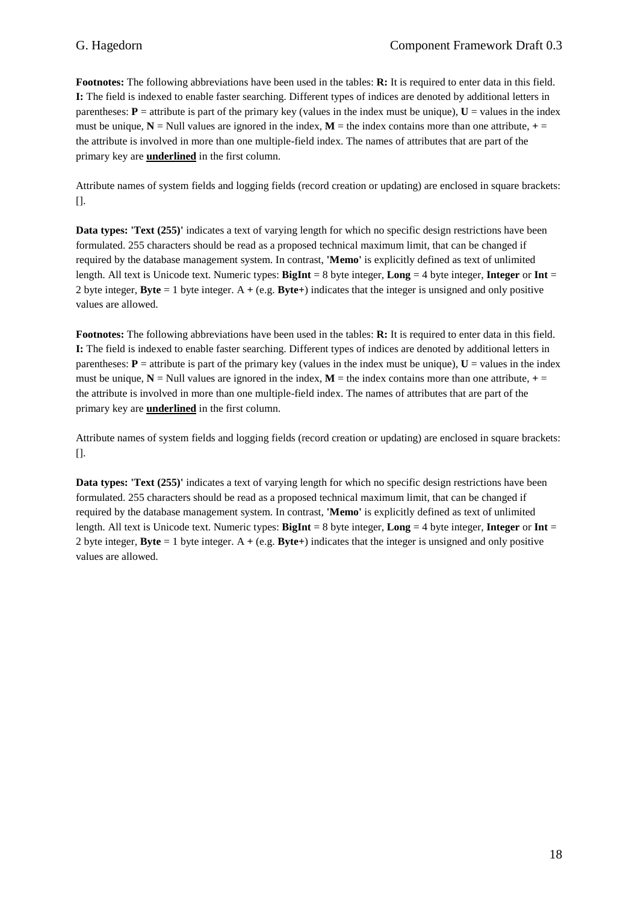**Footnotes:** The following abbreviations have been used in the tables: **R:** It is required to enter data in this field. **I:** The field is indexed to enable faster searching. Different types of indices are denoted by additional letters in parentheses:  $P =$  attribute is part of the primary key (values in the index must be unique),  $U =$  values in the index must be unique,  $N =$  Null values are ignored in the index,  $M =$  the index contains more than one attribute,  $+ =$ the attribute is involved in more than one multiple-field index. The names of attributes that are part of the primary key are **underlined** in the first column.

Attribute names of system fields and logging fields (record creation or updating) are enclosed in square brackets:  $\prod$ .

**Data types: 'Text (255)'** indicates a text of varying length for which no specific design restrictions have been formulated. 255 characters should be read as a proposed technical maximum limit, that can be changed if required by the database management system. In contrast, **'Memo'** is explicitly defined as text of unlimited length. All text is Unicode text. Numeric types: **BigInt** = 8 byte integer, **Long** = 4 byte integer, **Integer** or **Int** = 2 byte integer, **Byte** = 1 byte integer. A **+** (e.g. **Byte+**) indicates that the integer is unsigned and only positive values are allowed.

**Footnotes:** The following abbreviations have been used in the tables: **R:** It is required to enter data in this field. **I:** The field is indexed to enable faster searching. Different types of indices are denoted by additional letters in parentheses:  $P =$  attribute is part of the primary key (values in the index must be unique),  $U =$  values in the index must be unique,  $N =$  Null values are ignored in the index,  $M =$  the index contains more than one attribute,  $+ =$ the attribute is involved in more than one multiple-field index. The names of attributes that are part of the primary key are **underlined** in the first column.

Attribute names of system fields and logging fields (record creation or updating) are enclosed in square brackets: [].

**Data types: 'Text (255)'** indicates a text of varying length for which no specific design restrictions have been formulated. 255 characters should be read as a proposed technical maximum limit, that can be changed if required by the database management system. In contrast, **'Memo'** is explicitly defined as text of unlimited length. All text is Unicode text. Numeric types: **BigInt** = 8 byte integer, **Long** = 4 byte integer, **Integer** or **Int** = 2 byte integer, **Byte** = 1 byte integer. A **+** (e.g. **Byte+**) indicates that the integer is unsigned and only positive values are allowed.